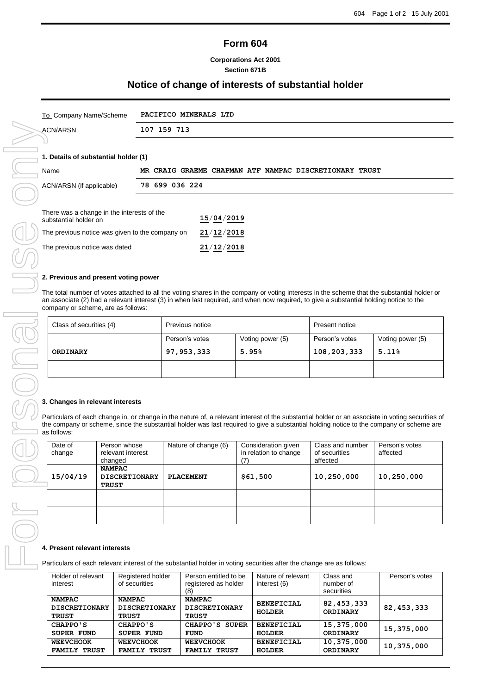# **Form 604**

### **Corporations Act 2001 Section 671B**

## **Notice of change of interests of substantial holder**

| To_Company Name/Scheme | <b>PACIFICO MINERALS LTD</b> |
|------------------------|------------------------------|
| ACN/ARSN               | 107 159 713                  |
|                        |                              |

### **1. Details of substantial holder (1)**

| Name                                                                |                |  |            |  | MR CRAIG GRAEME CHAPMAN ATF NAMPAC DISCRETIONARY TRUST |  |
|---------------------------------------------------------------------|----------------|--|------------|--|--------------------------------------------------------|--|
| ACN/ARSN (if applicable)                                            | 78 699 036 224 |  |            |  |                                                        |  |
|                                                                     |                |  |            |  |                                                        |  |
| There was a change in the interests of the<br>substantial holder on |                |  | 15/04/2019 |  |                                                        |  |
| The previous notice was given to the company on                     |                |  | 21/12/2018 |  |                                                        |  |

#### **2. Previous and present voting power**

The total number of votes attached to all the voting shares in the company or voting interests in the scheme that the substantial holder or an associate (2) had a relevant interest (3) in when last required, and when now required, to give a substantial holding notice to the company or scheme, are as follows:

| Class of securities (4) | Previous notice                    |  | Present notice |                  |  |
|-------------------------|------------------------------------|--|----------------|------------------|--|
|                         | Person's votes<br>Voting power (5) |  | Person's votes | Voting power (5) |  |
| <b>ORDINARY</b>         | 97, 953, 333<br>5.95%              |  | 108,203,333    | 5.11%            |  |
|                         |                                    |  |                |                  |  |

#### **3. Changes in relevant interests**

Particulars of each change in, or change in the nature of, a relevant interest of the substantial holder or an associate in voting securities of the company or scheme, since the substantial holder was last required to give a substantial holding notice to the company or scheme are as follows:

| Date of<br>change | Person whose<br>relevant interest<br>changed          | Nature of change (6) | Consideration given<br>in relation to change<br>(7 | Class and number<br>of securities<br>affected | Person's votes<br>affected |
|-------------------|-------------------------------------------------------|----------------------|----------------------------------------------------|-----------------------------------------------|----------------------------|
| 15/04/19          | <b>NAMPAC</b><br><b>DISCRETIONARY</b><br><b>TRUST</b> | PLACEMENT            | \$61,500                                           | 10,250,000                                    | 10,250,000                 |
|                   |                                                       |                      |                                                    |                                               |                            |
|                   |                                                       |                      |                                                    |                                               |                            |

#### **4. Present relevant interests**

Particulars of each relevant interest of the substantial holder in voting securities after the change are as follows:

| Holder of relevant<br>interest                        | Registered holder<br>of securities                    | Person entitled to be<br>registered as holder<br>(8) | Nature of relevant<br>interest (6) | Class and<br>number of<br>securities | Person's votes |
|-------------------------------------------------------|-------------------------------------------------------|------------------------------------------------------|------------------------------------|--------------------------------------|----------------|
| <b>NAMPAC</b><br><b>DISCRETIONARY</b><br><b>TRUST</b> | <b>NAMPAC</b><br><b>DISCRETIONARY</b><br><b>TRUST</b> | <b>NAMPAC</b><br><b>DISCRETIONARY</b><br>TRUST       | <b>BENEFICIAL</b><br><b>HOLDER</b> | 82, 453, 333<br><b>ORDINARY</b>      | 82, 453, 333   |
| CHAPPO'S                                              | CHAPPO'S                                              | CHAPPO'S SUPER                                       | <b>BENEFICIAL</b>                  | 15,375,000                           | 15,375,000     |
| <b>SUPER FUND</b>                                     | <b>SUPER FUND</b>                                     | <b>FUND</b>                                          | <b>HOLDER</b>                      | <b>ORDINARY</b>                      |                |
| <b>WEEVCHOOK</b>                                      | <b>WEEVCHOOK</b>                                      | <b>WEEVCHOOK</b>                                     | <b>BENEFICIAL</b>                  | 10,375,000                           | 10,375,000     |
| <b>FAMILY TRUST</b>                                   | <b>FAMILY TRUST</b>                                   | <b>FAMILY TRUST</b>                                  | <b>HOLDER</b>                      | <b>ORDINARY</b>                      |                |